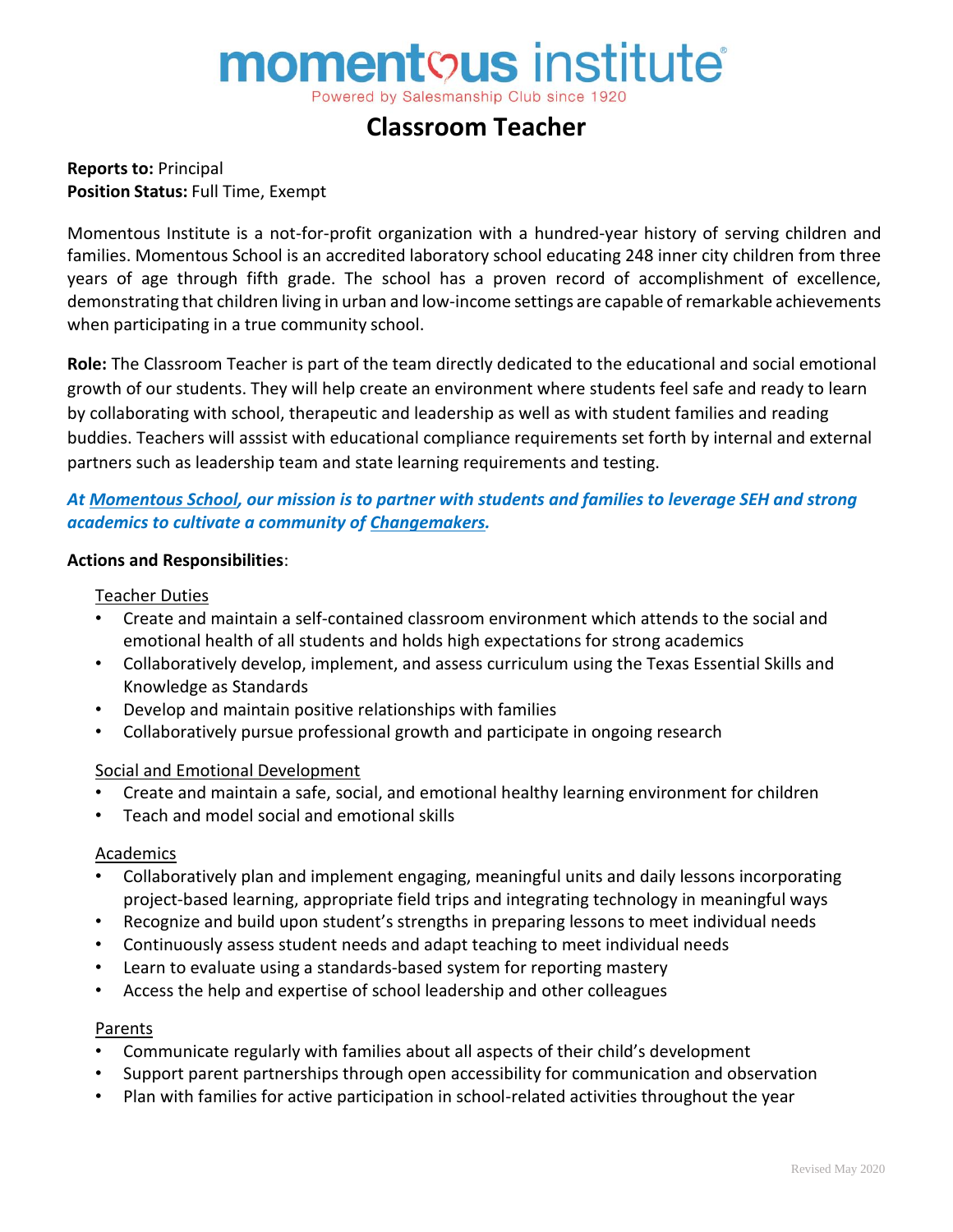# **momentous** institute®

Powered by Salesmanship Club since 1920

## **Classroom Teacher**

**Reports to:** Principal **Position Status:** Full Time, Exempt

Momentous Institute is a not-for-profit organization with a hundred-year history of serving children and families. Momentous School is an accredited laboratory school educating 248 inner city children from three years of age through fifth grade. The school has a proven record of accomplishment of excellence, demonstrating that children living in urban and low-income settings are capable of remarkable achievements when participating in a true community school.

**Role:** The Classroom Teacher is part of the team directly dedicated to the educational and social emotional growth of our students. They will help create an environment where students feel safe and ready to learn by collaborating with school, therapeutic and leadership as well as with student families and reading buddies. Teachers will asssist with educational compliance requirements set forth by internal and external partners such as leadership team and state learning requirements and testing.

#### *At Momentous School, our mission is to partner with students and families to leverage SEH and strong academics to cultivate a community of Changemakers.*

#### **Actions and Responsibilities**:

#### Teacher Duties

- Create and maintain a self-contained classroom environment which attends to the social and emotional health of all students and holds high expectations for strong academics
- Collaboratively develop, implement, and assess curriculum using the Texas Essential Skills and Knowledge as Standards
- Develop and maintain positive relationships with families
- Collaboratively pursue professional growth and participate in ongoing research

#### Social and Emotional Development

- Create and maintain a safe, social, and emotional healthy learning environment for children
- Teach and model social and emotional skills

#### **Academics**

- Collaboratively plan and implement engaging, meaningful units and daily lessons incorporating project-based learning, appropriate field trips and integrating technology in meaningful ways
- Recognize and build upon student's strengths in preparing lessons to meet individual needs
- Continuously assess student needs and adapt teaching to meet individual needs
- Learn to evaluate using a standards-based system for reporting mastery
- Access the help and expertise of school leadership and other colleagues

#### Parents

- Communicate regularly with families about all aspects of their child's development
- Support parent partnerships through open accessibility for communication and observation
- Plan with families for active participation in school-related activities throughout the year